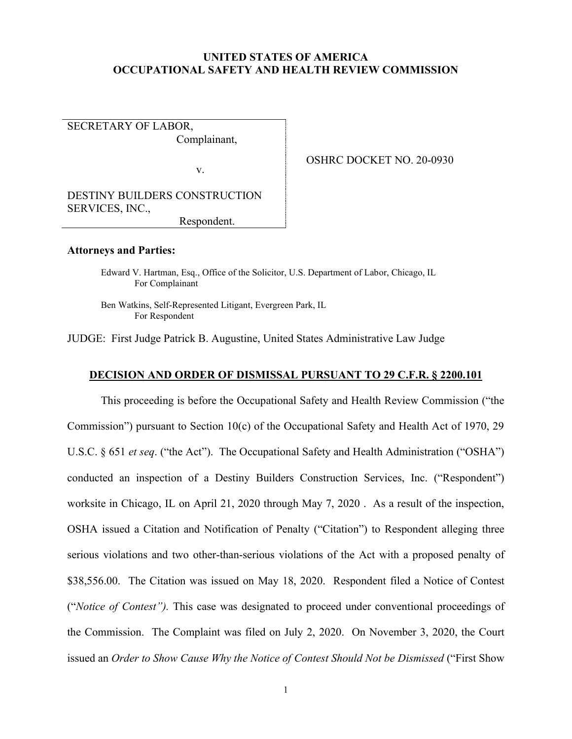# **UNITED STATES OF AMERICA OCCUPATIONAL SAFETY AND HEALTH REVIEW COMMISSION**

SECRETARY OF LABOR, Complainant,

v.

OSHRC DOCKET NO. 20-0930

DESTINY BUILDERS CONSTRUCTION SERVICES, INC.,

Respondent.

#### **Attorneys and Parties:**

Edward V. Hartman, Esq., Office of the Solicitor, U.S. Department of Labor, Chicago, IL For Complainant

Ben Watkins, Self-Represented Litigant, Evergreen Park, IL For Respondent

JUDGE: First Judge Patrick B. Augustine, United States Administrative Law Judge

# **DECISION AND ORDER OF DISMISSAL PURSUANT TO 29 C.F.R. § 2200.101**

This proceeding is before the Occupational Safety and Health Review Commission ("the Commission") pursuant to Section 10(c) of the Occupational Safety and Health Act of 1970, 29 U.S.C. § 651 *et seq*. ("the Act"). The Occupational Safety and Health Administration ("OSHA") conducted an inspection of a Destiny Builders Construction Services, Inc. ("Respondent") worksite in Chicago, IL on April 21, 2020 through May 7, 2020 . As a result of the inspection, OSHA issued a Citation and Notification of Penalty ("Citation") to Respondent alleging three serious violations and two other-than-serious violations of the Act with a proposed penalty of \$38,556.00. The Citation was issued on May 18, 2020. Respondent filed a Notice of Contest ("*Notice of Contest").* This case was designated to proceed under conventional proceedings of the Commission. The Complaint was filed on July 2, 2020. On November 3, 2020, the Court issued an *Order to Show Cause Why the Notice of Contest Should Not be Dismissed* ("First Show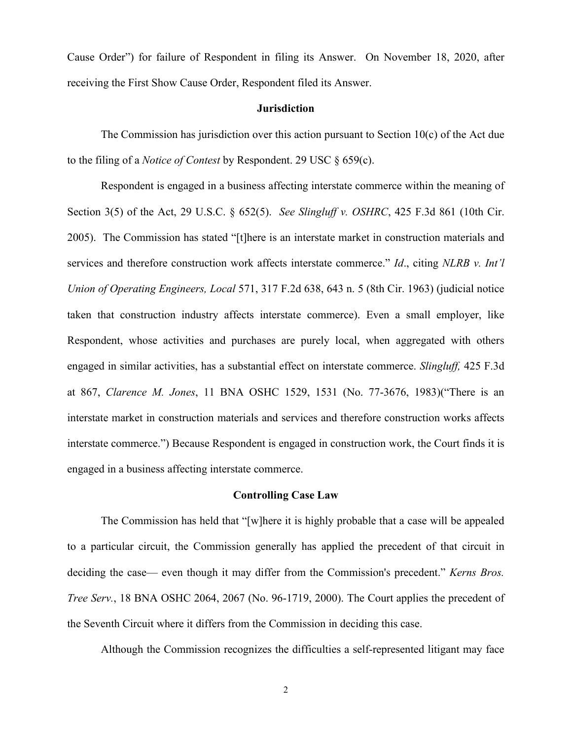Cause Order") for failure of Respondent in filing its Answer. On November 18, 2020, after receiving the First Show Cause Order, Respondent filed its Answer.

### **Jurisdiction**

The Commission has jurisdiction over this action pursuant to Section  $10(c)$  of the Act due to the filing of a *Notice of Contest* by Respondent. 29 USC § 659(c).

Respondent is engaged in a business affecting interstate commerce within the meaning of Section 3(5) of the Act, 29 U.S.C. § 652(5). *See Slingluff v. OSHRC*, 425 F.3d 861 (10th Cir. 2005). The Commission has stated "[t]here is an interstate market in construction materials and services and therefore construction work affects interstate commerce." *Id*., citing *NLRB v. Int'l Union of Operating Engineers, Local* 571, 317 F.2d 638, 643 n. 5 (8th Cir. 1963) (judicial notice taken that construction industry affects interstate commerce). Even a small employer, like Respondent, whose activities and purchases are purely local, when aggregated with others engaged in similar activities, has a substantial effect on interstate commerce. *Slingluff,* 425 F.3d at 867, *Clarence M. Jones*, 11 BNA OSHC 1529, 1531 (No. 77-3676, 1983)("There is an interstate market in construction materials and services and therefore construction works affects interstate commerce.") Because Respondent is engaged in construction work, the Court finds it is engaged in a business affecting interstate commerce.

### **Controlling Case Law**

The Commission has held that "[w]here it is highly probable that a case will be appealed to a particular circuit, the Commission generally has applied the precedent of that circuit in deciding the case— even though it may differ from the Commission's precedent." *Kerns Bros. Tree Serv.*, 18 BNA OSHC 2064, 2067 (No. 96-1719, 2000). The Court applies the precedent of the Seventh Circuit where it differs from the Commission in deciding this case.

Although the Commission recognizes the difficulties a self-represented litigant may face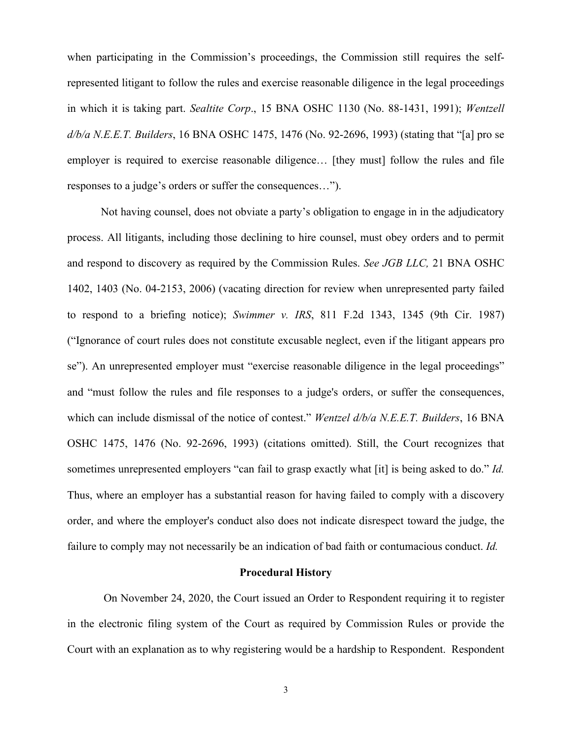when participating in the Commission's proceedings, the Commission still requires the selfrepresented litigant to follow the rules and exercise reasonable diligence in the legal proceedings in which it is taking part. *Sealtite Corp*., 15 BNA OSHC 1130 (No. 88-1431, 1991); *Wentzell d/b/a N.E.E.T. Builders*, 16 BNA OSHC 1475, 1476 (No. 92-2696, 1993) (stating that "[a] pro se employer is required to exercise reasonable diligence… [they must] follow the rules and file responses to a judge's orders or suffer the consequences…").

Not having counsel, does not obviate a party's obligation to engage in in the adjudicatory process. All litigants, including those declining to hire counsel, must obey orders and to permit and respond to discovery as required by the Commission Rules. *See JGB LLC,* 21 BNA OSHC 1402, 1403 (No. 04-2153, 2006) (vacating direction for review when unrepresented party failed to respond to a briefing notice); *Swimmer v. IRS*, 811 F.2d 1343, 1345 (9th Cir. 1987) ("Ignorance of court rules does not constitute excusable neglect, even if the litigant appears pro se"). An unrepresented employer must "exercise reasonable diligence in the legal proceedings" and "must follow the rules and file responses to a judge's orders, or suffer the consequences, which can include dismissal of the notice of contest." *Wentzel d/b/a N.E.E.T. Builders*, 16 BNA OSHC 1475, 1476 (No. 92-2696, 1993) (citations omitted). Still, the Court recognizes that sometimes unrepresented employers "can fail to grasp exactly what [it] is being asked to do." *Id.* Thus, where an employer has a substantial reason for having failed to comply with a discovery order, and where the employer's conduct also does not indicate disrespect toward the judge, the failure to comply may not necessarily be an indication of bad faith or contumacious conduct. *Id.*

## **Procedural History**

On November 24, 2020, the Court issued an Order to Respondent requiring it to register in the electronic filing system of the Court as required by Commission Rules or provide the Court with an explanation as to why registering would be a hardship to Respondent. Respondent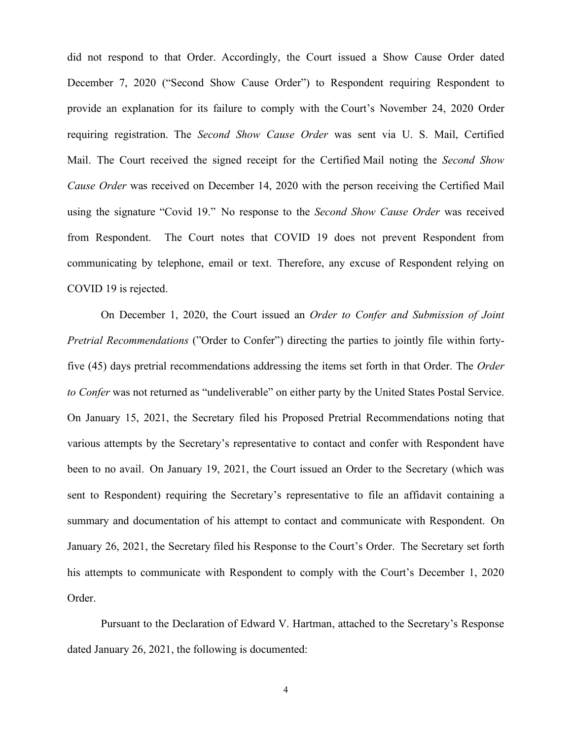did not respond to that Order. Accordingly, the Court issued a Show Cause Order dated December 7, 2020 ("Second Show Cause Order") to Respondent requiring Respondent to provide an explanation for its failure to comply with the Court's November 24, 2020 Order requiring registration. The *Second Show Cause Order* was sent via U. S. Mail, Certified Mail. The Court received the signed receipt for the Certified Mail noting the *Second Show Cause Order* was received on December 14, 2020 with the person receiving the Certified Mail using the signature "Covid 19." No response to the *Second Show Cause Order* was received from Respondent. The Court notes that COVID 19 does not prevent Respondent from communicating by telephone, email or text. Therefore, any excuse of Respondent relying on COVID 19 is rejected.

On December 1, 2020, the Court issued an *Order to Confer and Submission of Joint Pretrial Recommendations* ("Order to Confer") directing the parties to jointly file within fortyfive (45) days pretrial recommendations addressing the items set forth in that Order. The *Order to Confer* was not returned as "undeliverable" on either party by the United States Postal Service. On January 15, 2021, the Secretary filed his Proposed Pretrial Recommendations noting that various attempts by the Secretary's representative to contact and confer with Respondent have been to no avail. On January 19, 2021, the Court issued an Order to the Secretary (which was sent to Respondent) requiring the Secretary's representative to file an affidavit containing a summary and documentation of his attempt to contact and communicate with Respondent. On January 26, 2021, the Secretary filed his Response to the Court's Order. The Secretary set forth his attempts to communicate with Respondent to comply with the Court's December 1, 2020 Order.

Pursuant to the Declaration of Edward V. Hartman, attached to the Secretary's Response dated January 26, 2021, the following is documented: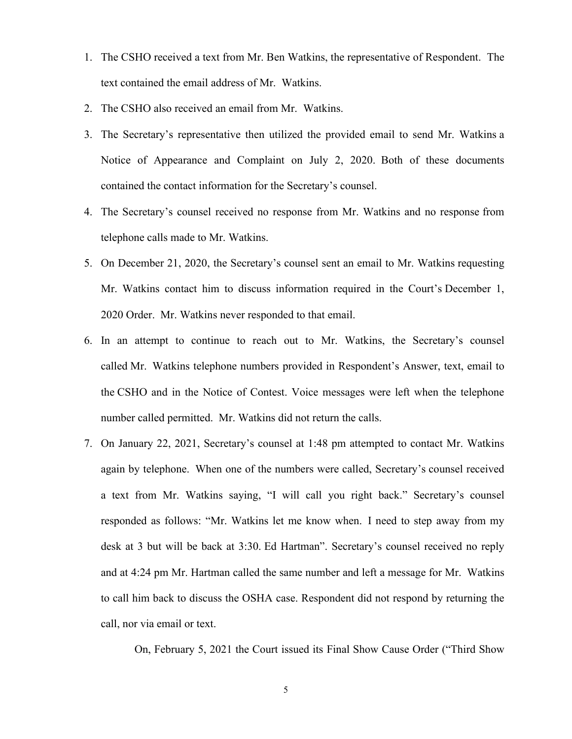- 1. The CSHO received a text from Mr. Ben Watkins, the representative of Respondent. The text contained the email address of Mr. Watkins.
- 2. The CSHO also received an email from Mr. Watkins.
- 3. The Secretary's representative then utilized the provided email to send Mr. Watkins a Notice of Appearance and Complaint on July 2, 2020. Both of these documents contained the contact information for the Secretary's counsel.
- 4. The Secretary's counsel received no response from Mr. Watkins and no response from telephone calls made to Mr. Watkins.
- 5. On December 21, 2020, the Secretary's counsel sent an email to Mr. Watkins requesting Mr. Watkins contact him to discuss information required in the Court's December 1, 2020 Order. Mr. Watkins never responded to that email.
- 6. In an attempt to continue to reach out to Mr. Watkins, the Secretary's counsel called Mr. Watkins telephone numbers provided in Respondent's Answer, text, email to the CSHO and in the Notice of Contest. Voice messages were left when the telephone number called permitted. Mr. Watkins did not return the calls.
- 7. On January 22, 2021, Secretary's counsel at 1:48 pm attempted to contact Mr. Watkins again by telephone. When one of the numbers were called, Secretary's counsel received a text from Mr. Watkins saying, "I will call you right back." Secretary's counsel responded as follows: "Mr. Watkins let me know when. I need to step away from my desk at 3 but will be back at 3:30. Ed Hartman". Secretary's counsel received no reply and at 4:24 pm Mr. Hartman called the same number and left a message for Mr. Watkins to call him back to discuss the OSHA case. Respondent did not respond by returning the call, nor via email or text.

On, February 5, 2021 the Court issued its Final Show Cause Order ("Third Show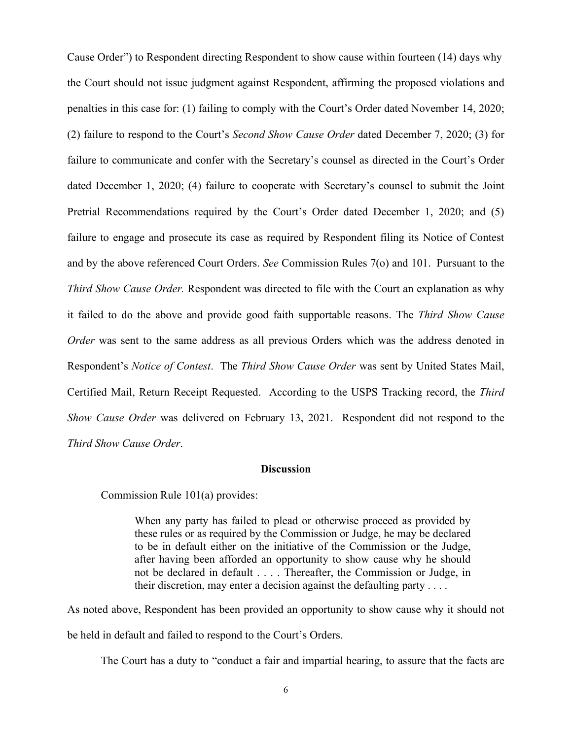Cause Order") to Respondent directing Respondent to show cause within fourteen (14) days why the Court should not issue judgment against Respondent, affirming the proposed violations and penalties in this case for: (1) failing to comply with the Court's Order dated November 14, 2020; (2) failure to respond to the Court's *Second Show Cause Order* dated December 7, 2020; (3) for failure to communicate and confer with the Secretary's counsel as directed in the Court's Order dated December 1, 2020; (4) failure to cooperate with Secretary's counsel to submit the Joint Pretrial Recommendations required by the Court's Order dated December 1, 2020; and (5) failure to engage and prosecute its case as required by Respondent filing its Notice of Contest and by the above referenced Court Orders. *See* Commission Rules 7(o) and 101. Pursuant to the *Third Show Cause Order.* Respondent was directed to file with the Court an explanation as why it failed to do the above and provide good faith supportable reasons. The *Third Show Cause Order* was sent to the same address as all previous Orders which was the address denoted in Respondent's *Notice of Contest*. The *Third Show Cause Order* was sent by United States Mail, Certified Mail, Return Receipt Requested. According to the USPS Tracking record, the *Third Show Cause Order* was delivered on February 13, 2021. Respondent did not respond to the *Third Show Cause Order*.

# **Discussion**

Commission Rule 101(a) provides:

When any party has failed to plead or otherwise proceed as provided by these rules or as required by the Commission or Judge, he may be declared to be in default either on the initiative of the Commission or the Judge, after having been afforded an opportunity to show cause why he should not be declared in default . . . . Thereafter, the Commission or Judge, in their discretion, may enter a decision against the defaulting party  $\dots$ .

As noted above, Respondent has been provided an opportunity to show cause why it should not be held in default and failed to respond to the Court's Orders.

The Court has a duty to "conduct a fair and impartial hearing, to assure that the facts are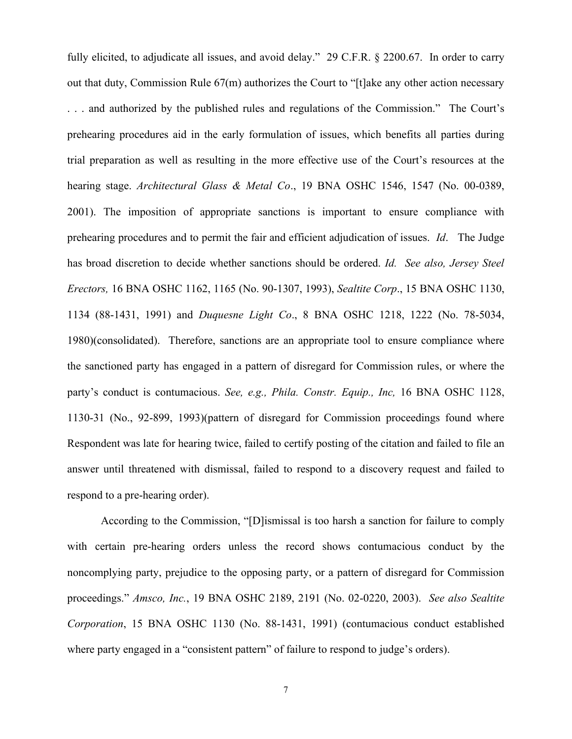fully elicited, to adjudicate all issues, and avoid delay." 29 C.F.R. § 2200.67. In order to carry out that duty, Commission Rule 67(m) authorizes the Court to "[t]ake any other action necessary . . . and authorized by the published rules and regulations of the Commission." The Court's prehearing procedures aid in the early formulation of issues, which benefits all parties during trial preparation as well as resulting in the more effective use of the Court's resources at the hearing stage. *Architectural Glass & Metal Co*., 19 BNA OSHC 1546, 1547 (No. 00-0389, 2001). The imposition of appropriate sanctions is important to ensure compliance with prehearing procedures and to permit the fair and efficient adjudication of issues. *Id*. The Judge has broad discretion to decide whether sanctions should be ordered. *Id. See also, Jersey Steel Erectors,* 16 BNA OSHC 1162, 1165 (No. 90-1307, 1993), *Sealtite Corp*., 15 BNA OSHC 1130, 1134 (88-1431, 1991) and *Duquesne Light Co*., 8 BNA OSHC 1218, 1222 (No. 78-5034, 1980)(consolidated). Therefore, sanctions are an appropriate tool to ensure compliance where the sanctioned party has engaged in a pattern of disregard for Commission rules, or where the party's conduct is contumacious. *See, e.g., Phila. Constr. Equip., Inc,* 16 BNA OSHC 1128, 1130-31 (No., 92-899, 1993)(pattern of disregard for Commission proceedings found where Respondent was late for hearing twice, failed to certify posting of the citation and failed to file an answer until threatened with dismissal, failed to respond to a discovery request and failed to respond to a pre-hearing order).

According to the Commission, "[D]ismissal is too harsh a sanction for failure to comply with certain pre-hearing orders unless the record shows contumacious conduct by the noncomplying party, prejudice to the opposing party, or a pattern of disregard for Commission proceedings." *Amsco, Inc.*, 19 BNA OSHC 2189, 2191 (No. 02-0220, 2003). *See also Sealtite Corporation*, 15 BNA OSHC 1130 (No. 88-1431, 1991) (contumacious conduct established where party engaged in a "consistent pattern" of failure to respond to judge's orders).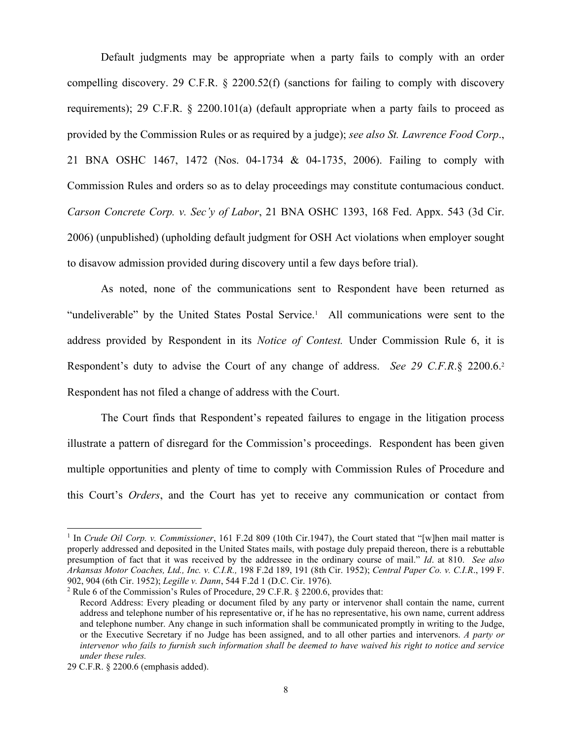Default judgments may be appropriate when a party fails to comply with an order compelling discovery. 29 C.F.R. § 2200.52(f) (sanctions for failing to comply with discovery requirements); 29 C.F.R. § 2200.101(a) (default appropriate when a party fails to proceed as provided by the Commission Rules or as required by a judge); *see also St. Lawrence Food Corp*., 21 BNA OSHC 1467, 1472 (Nos. 04-1734 & 04-1735, 2006). Failing to comply with Commission Rules and orders so as to delay proceedings may constitute contumacious conduct. *Carson Concrete Corp. v. Sec'y of Labor*, 21 BNA OSHC 1393, 168 Fed. Appx. 543 (3d Cir. 2006) (unpublished) (upholding default judgment for OSH Act violations when employer sought to disavow admission provided during discovery until a few days before trial).

As noted, none of the communications sent to Respondent have been returned as "undeliverable" by the United States Postal Service.<sup>1</sup> All communications were sent to the address provided by Respondent in its *Notice of Contest.* Under Commission Rule 6, it is Respondent's duty to advise the Court of any change of address. *See 29 C.F.R*.§ 2200.6.<sup>2</sup> Respondent has not filed a change of address with the Court.

The Court finds that Respondent's repeated failures to engage in the litigation process illustrate a pattern of disregard for the Commission's proceedings. Respondent has been given multiple opportunities and plenty of time to comply with Commission Rules of Procedure and this Court's *Orders*, and the Court has yet to receive any communication or contact from

<sup>&</sup>lt;sup>1</sup> In *Crude Oil Corp. v. Commissioner*, 161 F.2d 809 (10th Cir.1947), the Court stated that "[w]hen mail matter is properly addressed and deposited in the United States mails, with postage duly prepaid thereon, there is a rebuttable presumption of fact that it was received by the addressee in the ordinary course of mail." *Id*. at 810. *See also Arkansas Motor Coaches, Ltd., Inc. v. C.I.R.,* 198 F.2d 189, 191 (8th Cir. 1952); *Central Paper Co. v. C.I.R*., 199 F. 902, 904 (6th Cir. 1952); *Legille v. Dann*, 544 F.2d 1 (D.C. Cir. 1976).

<sup>2</sup> Rule 6 of the Commission's Rules of Procedure, 29 C.F.R. § 2200.6, provides that:

Record Address: Every pleading or document filed by any party or intervenor shall contain the name, current address and telephone number of his representative or, if he has no representative, his own name, current address and telephone number. Any change in such information shall be communicated promptly in writing to the Judge, or the Executive Secretary if no Judge has been assigned, and to all other parties and intervenors. *A party or intervenor who fails to furnish such information shall be deemed to have waived his right to notice and service under these rules.*

<sup>29</sup> C.F.R. § 2200.6 (emphasis added).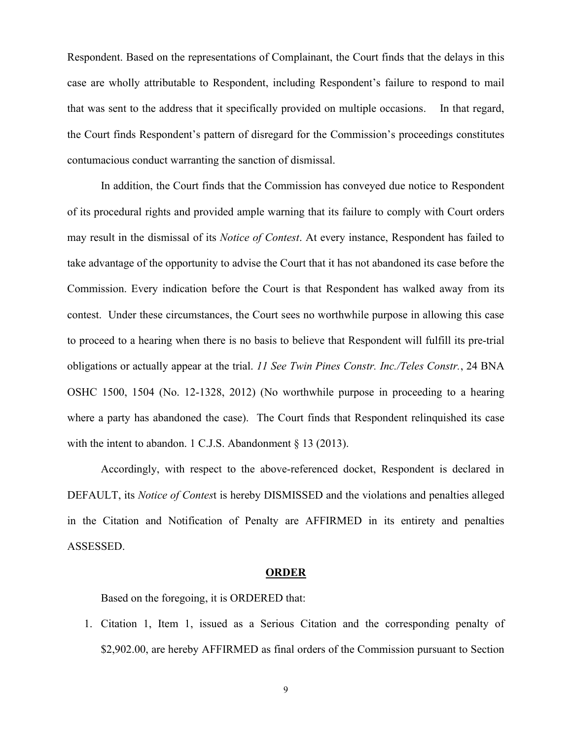Respondent. Based on the representations of Complainant, the Court finds that the delays in this case are wholly attributable to Respondent, including Respondent's failure to respond to mail that was sent to the address that it specifically provided on multiple occasions. In that regard, the Court finds Respondent's pattern of disregard for the Commission's proceedings constitutes contumacious conduct warranting the sanction of dismissal.

In addition, the Court finds that the Commission has conveyed due notice to Respondent of its procedural rights and provided ample warning that its failure to comply with Court orders may result in the dismissal of its *Notice of Contest*. At every instance, Respondent has failed to take advantage of the opportunity to advise the Court that it has not abandoned its case before the Commission. Every indication before the Court is that Respondent has walked away from its contest. Under these circumstances, the Court sees no worthwhile purpose in allowing this case to proceed to a hearing when there is no basis to believe that Respondent will fulfill its pre-trial obligations or actually appear at the trial. *11 See Twin Pines Constr. Inc./Teles Constr.*, 24 BNA OSHC 1500, 1504 (No. 12-1328, 2012) (No worthwhile purpose in proceeding to a hearing where a party has abandoned the case). The Court finds that Respondent relinquished its case with the intent to abandon. 1 C.J.S. Abandonment § 13 (2013).

 Accordingly, with respect to the above-referenced docket, Respondent is declared in DEFAULT, its *Notice of Contes*t is hereby DISMISSED and the violations and penalties alleged in the Citation and Notification of Penalty are AFFIRMED in its entirety and penalties ASSESSED.

### **ORDER**

Based on the foregoing, it is ORDERED that:

1. Citation 1, Item 1, issued as a Serious Citation and the corresponding penalty of \$2,902.00, are hereby AFFIRMED as final orders of the Commission pursuant to Section